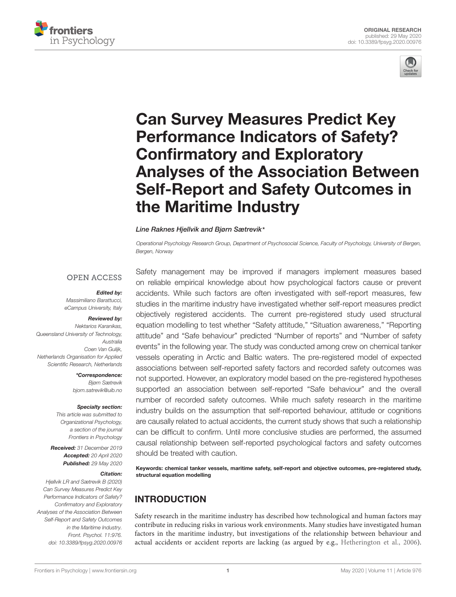



# Can Survey Measures Predict Key Performance Indicators of Safety? Confirmatory and Exploratory [Analyses of the Association Between](https://www.frontiersin.org/articles/10.3389/fpsyg.2020.00976/full) Self-Report and Safety Outcomes in the Maritime Industry

#### [Line Raknes Hjellvik](http://loop.frontiersin.org/people/870846/overview) and [Bjørn Sætrevik](http://loop.frontiersin.org/people/895816/overview)\*

Operational Psychology Research Group, Department of Psychosocial Science, Faculty of Psychology, University of Bergen, Bergen, Norway

### **OPEN ACCESS**

#### Edited by:

Massimiliano Barattucci, eCampus University, Italy

# Reviewed by:

Nektarios Karanikas, Queensland University of Technology, Australia Coen Van Gulijk, Netherlands Organisation for Applied Scientific Research, Netherlands

> \*Correspondence: Bjørn Sætrevik bjorn.satrevik@uib.no

#### Specialty section:

This article was submitted to Organizational Psychology, a section of the journal Frontiers in Psychology

Received: 31 December 2019 Accepted: 20 April 2020 Published: 29 May 2020

#### Citation:

Hjellvik LR and Sætrevik B (2020) Can Survey Measures Predict Key Performance Indicators of Safety? Confirmatory and Exploratory Analyses of the Association Between Self-Report and Safety Outcomes in the Maritime Industry. Front. Psychol. 11:976. doi: [10.3389/fpsyg.2020.00976](https://doi.org/10.3389/fpsyg.2020.00976)

Safety management may be improved if managers implement measures based on reliable empirical knowledge about how psychological factors cause or prevent accidents. While such factors are often investigated with self-report measures, few studies in the maritime industry have investigated whether self-report measures predict objectively registered accidents. The current pre-registered study used structural equation modelling to test whether "Safety attitude," "Situation awareness," "Reporting attitude" and "Safe behaviour" predicted "Number of reports" and "Number of safety events" in the following year. The study was conducted among crew on chemical tanker vessels operating in Arctic and Baltic waters. The pre-registered model of expected associations between self-reported safety factors and recorded safety outcomes was not supported. However, an exploratory model based on the pre-registered hypotheses supported an association between self-reported "Safe behaviour" and the overall number of recorded safety outcomes. While much safety research in the maritime industry builds on the assumption that self-reported behaviour, attitude or cognitions are causally related to actual accidents, the current study shows that such a relationship can be difficult to confirm. Until more conclusive studies are performed, the assumed causal relationship between self-reported psychological factors and safety outcomes should be treated with caution.

Keywords: chemical tanker vessels, maritime safety, self-report and objective outcomes, pre-registered study, structural equation modelling

# INTRODUCTION

Safety research in the maritime industry has described how technological and human factors may contribute in reducing risks in various work environments. Many studies have investigated human factors in the maritime industry, but investigations of the relationship between behaviour and actual accidents or accident reports are lacking (as argued by e.g., [Hetherington et al.,](#page-10-0) [2006\)](#page-10-0).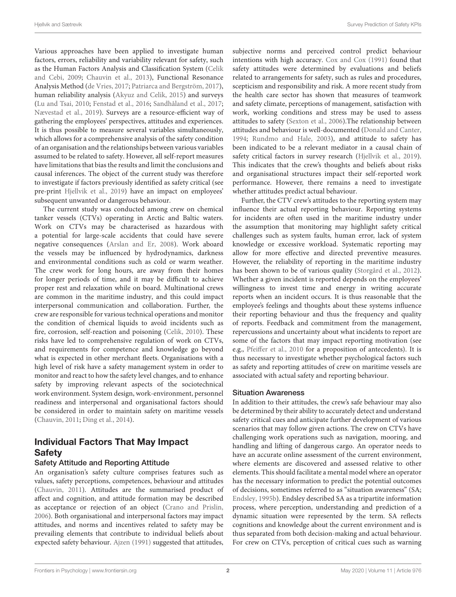Various approaches have been applied to investigate human factors, errors, reliability and variability relevant for safety, such as the Human Factors Analysis and Classification System [\(Celik](#page-9-0) [and Cebi,](#page-9-0) [2009;](#page-9-0) [Chauvin et al.,](#page-10-1) [2013\)](#page-10-1), Functional Resonance Analysis Method [\(de Vries,](#page-10-2) [2017;](#page-10-2) [Patriarca and Bergström,](#page-10-3) [2017\)](#page-10-3), human reliability analysis [\(Akyuz and Celik,](#page-9-1) [2015\)](#page-9-1) and surveys [\(Lu and Tsai,](#page-10-4) [2010;](#page-10-4) [Fenstad et al.,](#page-10-5) [2016;](#page-10-5) [Sandhåland et al.,](#page-10-6) [2017;](#page-10-6) [Nævestad et al.,](#page-10-7) [2019\)](#page-10-7). Surveys are a resource-efficient way of gathering the employees' perspectives, attitudes and experiences. It is thus possible to measure several variables simultaneously, which allows for a comprehensive analysis of the safety condition of an organisation and the relationships between various variables assumed to be related to safety. However, all self-report measures have limitations that bias the results and limit the conclusions and causal inferences. The object of the current study was therefore to investigate if factors previously identified as safety critical (see pre-print [Hjellvik et al.,](#page-10-8) [2019\)](#page-10-8) have an impact on employees' subsequent unwanted or dangerous behaviour.

The current study was conducted among crew on chemical tanker vessels (CTVs) operating in Arctic and Baltic waters. Work on CTVs may be characterised as hazardous with a potential for large-scale accidents that could have severe negative consequences [\(Arslan and Er,](#page-9-2) [2008\)](#page-9-2). Work aboard the vessels may be influenced by hydrodynamics, darkness and environmental conditions such as cold or warm weather. The crew work for long hours, are away from their homes for longer periods of time, and it may be difficult to achieve proper rest and relaxation while on board. Multinational crews are common in the maritime industry, and this could impact interpersonal communication and collaboration. Further, the crew are responsible for various technical operations and monitor the condition of chemical liquids to avoid incidents such as fire, corrosion, self-reaction and poisoning [\(Celik,](#page-9-3) [2010\)](#page-9-3). These risks have led to comprehensive regulation of work on CTVs, and requirements for competence and knowledge go beyond what is expected in other merchant fleets. Organisations with a high level of risk have a safety management system in order to monitor and react to how the safety level changes, and to enhance safety by improving relevant aspects of the sociotechnical work environment. System design, work-environment, personnel readiness and interpersonal and organisational factors should be considered in order to maintain safety on maritime vessels [\(Chauvin,](#page-10-9) [2011;](#page-10-9) [Ding et al.,](#page-10-10) [2014\)](#page-10-10).

# Individual Factors That May Impact **Safety**

### Safety Attitude and Reporting Attitude

An organisation's safety culture comprises features such as values, safety perceptions, competences, behaviour and attitudes [\(Chauvin,](#page-10-9) [2011\)](#page-10-9). Attitudes are the summarised product of affect and cognition, and attitude formation may be described as acceptance or rejection of an object [\(Crano and Prislin,](#page-10-11) [2006\)](#page-10-11). Both organisational and interpersonal factors may impact attitudes, and norms and incentives related to safety may be prevailing elements that contribute to individual beliefs about expected safety behaviour. [Ajzen](#page-9-4) [\(1991\)](#page-9-4) suggested that attitudes,

subjective norms and perceived control predict behaviour intentions with high accuracy. [Cox and Cox](#page-10-12) [\(1991\)](#page-10-12) found that safety attitudes were determined by evaluations and beliefs related to arrangements for safety, such as rules and procedures, scepticism and responsibility and risk. A more recent study from the health care sector has shown that measures of teamwork and safety climate, perceptions of management, satisfaction with work, working conditions and stress may be used to assess attitudes to safety [\(Sexton et al.,](#page-10-13) [2006\)](#page-10-13).The relationship between attitudes and behaviour is well-documented [\(Donald and Canter,](#page-10-14) [1994;](#page-10-14) [Rundmo and Hale,](#page-10-15) [2003\)](#page-10-15), and attitude to safety has been indicated to be a relevant mediator in a causal chain of safety critical factors in survey research [\(Hjellvik et al.,](#page-10-8) [2019\)](#page-10-8). This indicates that the crew's thoughts and beliefs about risks and organisational structures impact their self-reported work performance. However, there remains a need to investigate whether attitudes predict actual behaviour.

Further, the CTV crew's attitudes to the reporting system may influence their actual reporting behaviour. Reporting systems for incidents are often used in the maritime industry under the assumption that monitoring may highlight safety critical challenges such as system faults, human error, lack of system knowledge or excessive workload. Systematic reporting may allow for more effective and directed preventive measures. However, the reliability of reporting in the maritime industry has been shown to be of various quality [\(Storgård et al.,](#page-10-16) [2012\)](#page-10-16). Whether a given incident is reported depends on the employees' willingness to invest time and energy in writing accurate reports when an incident occurs. It is thus reasonable that the employee's feelings and thoughts about these systems influence their reporting behaviour and thus the frequency and quality of reports. Feedback and commitment from the management, repercussions and uncertainty about what incidents to report are some of the factors that may impact reporting motivation (see e.g., [Pfeiffer et al.,](#page-10-17) [2010](#page-10-17) for a proposition of antecedents). It is thus necessary to investigate whether psychological factors such as safety and reporting attitudes of crew on maritime vessels are associated with actual safety and reporting behaviour.

#### Situation Awareness

In addition to their attitudes, the crew's safe behaviour may also be determined by their ability to accurately detect and understand safety critical cues and anticipate further development of various scenarios that may follow given actions. The crew on CTVs have challenging work operations such as navigation, mooring, and handling and lifting of dangerous cargo. An operator needs to have an accurate online assessment of the current environment, where elements are discovered and assessed relative to other elements. This should facilitate a mental model where an operator has the necessary information to predict the potential outcomes of decisions, sometimes referred to as "situation awareness" (SA; [Endsley,](#page-10-18) [1995b\)](#page-10-18). Endsley described SA as a tripartite information process, where perception, understanding and prediction of a dynamic situation were represented by the term. SA reflects cognitions and knowledge about the current environment and is thus separated from both decision-making and actual behaviour. For crew on CTVs, perception of critical cues such as warning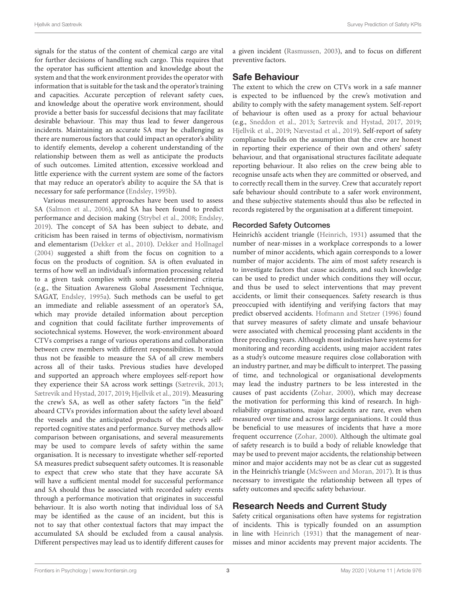signals for the status of the content of chemical cargo are vital for further decisions of handling such cargo. This requires that the operator has sufficient attention and knowledge about the system and that the work environment provides the operator with information that is suitable for the task and the operator's training and capacities. Accurate perception of relevant safety cues, and knowledge about the operative work environment, should provide a better basis for successful decisions that may facilitate desirable behaviour. This may thus lead to fewer dangerous incidents. Maintaining an accurate SA may be challenging as there are numerous factors that could impact an operator's ability to identify elements, develop a coherent understanding of the relationship between them as well as anticipate the products of such outcomes. Limited attention, excessive workload and little experience with the current system are some of the factors that may reduce an operator's ability to acquire the SA that is necessary for safe performance [\(Endsley,](#page-10-18) [1995b\)](#page-10-18).

Various measurement approaches have been used to assess SA [\(Salmon et al.,](#page-10-19) [2006\)](#page-10-19), and SA has been found to predict performance and decision making [\(Strybel et al.,](#page-10-20) [2008;](#page-10-20) [Endsley,](#page-10-21) [2019\)](#page-10-21). The concept of SA has been subject to debate, and criticism has been raised in terms of objectivism, normativism and elementarism [\(Dekker et al.,](#page-10-22) [2010\)](#page-10-22). [Dekker and Hollnagel](#page-10-23) [\(2004\)](#page-10-23) suggested a shift from the focus on cognition to a focus on the products of cognition. SA is often evaluated in terms of how well an individual's information processing related to a given task complies with some predetermined criteria (e.g., the Situation Awareness Global Assessment Technique, SAGAT, [Endsley,](#page-10-24) [1995a\)](#page-10-24). Such methods can be useful to get an immediate and reliable assessment of an operator's SA, which may provide detailed information about perception and cognition that could facilitate further improvements of sociotechnical systems. However, the work-environment aboard CTVs comprises a range of various operations and collaboration between crew members with different responsibilities. It would thus not be feasible to measure the SA of all crew members across all of their tasks. Previous studies have developed and supported an approach where employees self-report how they experience their SA across work settings [\(Sætrevik,](#page-10-25) [2013;](#page-10-25) [Sætrevik and Hystad,](#page-10-26) [2017,](#page-10-26) [2019;](#page-11-0) [Hjellvik et al.,](#page-10-8) [2019\)](#page-10-8). Measuring the crew's SA, as well as other safety factors "in the field" aboard CTVs provides information about the safety level aboard the vessels and the anticipated products of the crew's selfreported cognitive states and performance. Survey methods allow comparison between organisations, and several measurements may be used to compare levels of safety within the same organisation. It is necessary to investigate whether self-reported SA measures predict subsequent safety outcomes. It is reasonable to expect that crew who state that they have accurate SA will have a sufficient mental model for successful performance and SA should thus be associated with recorded safety events through a performance motivation that originates in successful behaviour. It is also worth noting that individual loss of SA may be identified as the cause of an incident, but this is not to say that other contextual factors that may impact the accumulated SA should be excluded from a causal analysis. Different perspectives may lead us to identify different causes for

a given incident [\(Rasmussen,](#page-10-27) [2003\)](#page-10-27), and to focus on different preventive factors.

### Safe Behaviour

The extent to which the crew on CTVs work in a safe manner is expected to be influenced by the crew's motivation and ability to comply with the safety management system. Self-report of behaviour is often used as a proxy for actual behaviour (e.g., [Sneddon et al.,](#page-10-28) [2013;](#page-10-28) [Sætrevik and Hystad,](#page-10-26) [2017,](#page-10-26) [2019;](#page-11-0) [Hjellvik et al.,](#page-10-8) [2019;](#page-10-8) [Nævestad et al.,](#page-10-7) [2019\)](#page-10-7). Self-report of safety compliance builds on the assumption that the crew are honest in reporting their experience of their own and others' safety behaviour, and that organisational structures facilitate adequate reporting behaviour. It also relies on the crew being able to recognise unsafe acts when they are committed or observed, and to correctly recall them in the survey. Crew that accurately report safe behaviour should contribute to a safer work environment, and these subjective statements should thus also be reflected in records registered by the organisation at a different timepoint.

### Recorded Safety Outcomes

Heinrich's accident triangle [\(Heinrich,](#page-10-29) [1931\)](#page-10-29) assumed that the number of near-misses in a workplace corresponds to a lower number of minor accidents, which again corresponds to a lower number of major accidents. The aim of most safety research is to investigate factors that cause accidents, and such knowledge can be used to predict under which conditions they will occur, and thus be used to select interventions that may prevent accidents, or limit their consequences. Safety research is thus preoccupied with identifying and verifying factors that may predict observed accidents. [Hofmann and Stetzer](#page-10-30) [\(1996\)](#page-10-30) found that survey measures of safety climate and unsafe behaviour were associated with chemical processing plant accidents in the three preceding years. Although most industries have systems for monitoring and recording accidents, using major accident rates as a study's outcome measure requires close collaboration with an industry partner, and may be difficult to interpret. The passing of time, and technological or organisational developments may lead the industry partners to be less interested in the causes of past accidents [\(Zohar,](#page-11-1) [2000\)](#page-11-1), which may decrease the motivation for performing this kind of research. In highreliability organisations, major accidents are rare, even when measured over time and across large organisations. It could thus be beneficial to use measures of incidents that have a more frequent occurrence [\(Zohar,](#page-11-1) [2000\)](#page-11-1). Although the ultimate goal of safety research is to build a body of reliable knowledge that may be used to prevent major accidents, the relationship between minor and major accidents may not be as clear cut as suggested in the Heinrich's triangle [\(McSween and Moran,](#page-10-31) [2017\)](#page-10-31). It is thus necessary to investigate the relationship between all types of safety outcomes and specific safety behaviour.

### Research Needs and Current Study

Safety critical organisations often have systems for registration of incidents. This is typically founded on an assumption in line with [Heinrich](#page-10-29) [\(1931\)](#page-10-29) that the management of nearmisses and minor accidents may prevent major accidents. The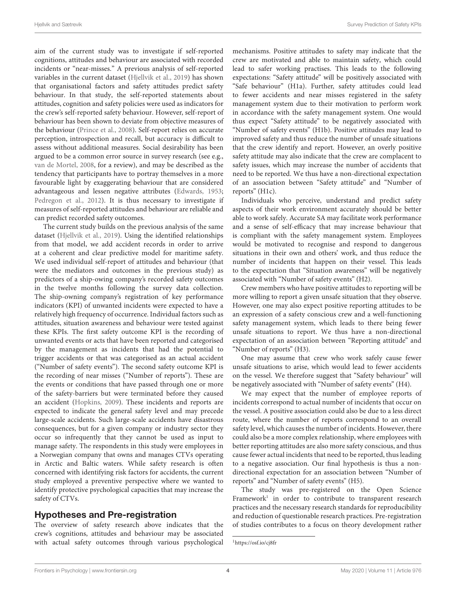aim of the current study was to investigate if self-reported cognitions, attitudes and behaviour are associated with recorded incidents or "near-misses." A previous analysis of self-reported variables in the current dataset [\(Hjellvik et al.,](#page-10-8) [2019\)](#page-10-8) has shown that organisational factors and safety attitudes predict safety behaviour. In that study, the self-reported statements about attitudes, cognition and safety policies were used as indicators for the crew's self-reported safety behaviour. However, self-report of behaviour has been shown to deviate from objective measures of the behaviour [\(Prince et al.,](#page-10-32) [2008\)](#page-10-32). Self-report relies on accurate perception, introspection and recall, but accuracy is difficult to assess without additional measures. Social desirability has been argued to be a common error source in survey research (see e.g., [van de Mortel,](#page-11-2) [2008,](#page-11-2) for a review), and may be described as the tendency that participants have to portray themselves in a more favourable light by exaggerating behaviour that are considered advantageous and lessen negative attributes [\(Edwards,](#page-10-33) [1953;](#page-10-33) [Pedregon et al.,](#page-10-34) [2012\)](#page-10-34). It is thus necessary to investigate if measures of self-reported attitudes and behaviour are reliable and can predict recorded safety outcomes.

The current study builds on the previous analysis of the same dataset [\(Hjellvik et al.,](#page-10-8) [2019\)](#page-10-8). Using the identified relationships from that model, we add accident records in order to arrive at a coherent and clear predictive model for maritime safety. We used individual self-report of attitudes and behaviour (that were the mediators and outcomes in the previous study) as predictors of a ship-owing company's recorded safety outcomes in the twelve months following the survey data collection. The ship-owning company's registration of key performance indicators (KPI) of unwanted incidents were expected to have a relatively high frequency of occurrence. Individual factors such as attitudes, situation awareness and behaviour were tested against these KPIs. The first safety outcome KPI is the recording of unwanted events or acts that have been reported and categorised by the management as incidents that had the potential to trigger accidents or that was categorised as an actual accident ("Number of safety events"). The second safety outcome KPI is the recording of near misses ("Number of reports"). These are the events or conditions that have passed through one or more of the safety-barriers but were terminated before they caused an accident [\(Hopkins,](#page-10-35) [2009\)](#page-10-35). These incidents and reports are expected to indicate the general safety level and may precede large-scale accidents. Such large-scale accidents have disastrous consequences, but for a given company or industry sector they occur so infrequently that they cannot be used as input to manage safety. The respondents in this study were employees in a Norwegian company that owns and manages CTVs operating in Arctic and Baltic waters. While safety research is often concerned with identifying risk factors for accidents, the current study employed a preventive perspective where we wanted to identify protective psychological capacities that may increase the safety of CTVs.

### Hypotheses and Pre-registration

The overview of safety research above indicates that the crew's cognitions, attitudes and behaviour may be associated with actual safety outcomes through various psychological

mechanisms. Positive attitudes to safety may indicate that the crew are motivated and able to maintain safety, which could lead to safer working practises. This leads to the following expectations: "Safety attitude" will be positively associated with "Safe behaviour" (H1a). Further, safety attitudes could lead to fewer accidents and near misses registered in the safety management system due to their motivation to perform work in accordance with the safety management system. One would thus expect "Safety attitude" to be negatively associated with "Number of safety events" (H1b). Positive attitudes may lead to improved safety and thus reduce the number of unsafe situations that the crew identify and report. However, an overly positive safety attitude may also indicate that the crew are complacent to safety issues, which may increase the number of accidents that need to be reported. We thus have a non-directional expectation of an association between "Safety attitude" and "Number of reports" (H1c).

Individuals who perceive, understand and predict safety aspects of their work environment accurately should be better able to work safely. Accurate SA may facilitate work performance and a sense of self-efficacy that may increase behaviour that is compliant with the safety management system. Employees would be motivated to recognise and respond to dangerous situations in their own and others' work, and thus reduce the number of incidents that happen on their vessel. This leads to the expectation that "Situation awareness" will be negatively associated with "Number of safety events" (H2).

Crew members who have positive attitudes to reporting will be more willing to report a given unsafe situation that they observe. However, one may also expect positive reporting attitudes to be an expression of a safety conscious crew and a well-functioning safety management system, which leads to there being fewer unsafe situations to report. We thus have a non-directional expectation of an association between "Reporting attitude" and "Number of reports" (H3).

One may assume that crew who work safely cause fewer unsafe situations to arise, which would lead to fewer accidents on the vessel. We therefore suggest that "Safety behaviour" will be negatively associated with "Number of safety events" (H4).

We may expect that the number of employee reports of incidents correspond to actual number of incidents that occur on the vessel. A positive association could also be due to a less direct route, where the number of reports correspond to an overall safety level, which causes the number of incidents. However, there could also be a more complex relationship, where employees with better reporting attitudes are also more safety conscious, and thus cause fewer actual incidents that need to be reported, thus leading to a negative association. Our final hypothesis is thus a nondirectional expectation for an association between "Number of reports" and "Number of safety events" (H5).

The study was pre-registered on the Open Science Framework<sup>[1](#page-3-0)</sup> in order to contribute to transparent research practices and the necessary research standards for reproducibility and reduction of questionable research practices. Pre-registration of studies contributes to a focus on theory development rather

<span id="page-3-0"></span><sup>1</sup><https://osf.io/cj8fr>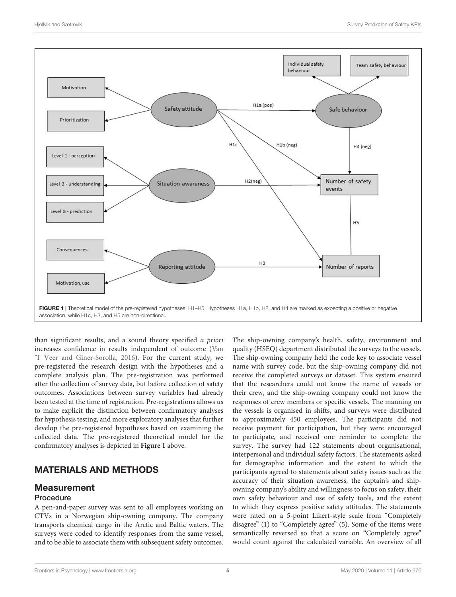

<span id="page-4-0"></span>than significant results, and a sound theory specified a priori increases confidence in results independent of outcome [\(Van](#page-11-3) ['T Veer and Giner-Sorolla,](#page-11-3) [2016\)](#page-11-3). For the current study, we pre-registered the research design with the hypotheses and a complete analysis plan. The pre-registration was performed after the collection of survey data, but before collection of safety outcomes. Associations between survey variables had already been tested at the time of registration. Pre-registrations allows us to make explicit the distinction between confirmatory analyses for hypothesis testing, and more exploratory analyses that further develop the pre-registered hypotheses based on examining the collected data. The pre-registered theoretical model for the confirmatory analyses is depicted in **[Figure 1](#page-4-0)** above.

# MATERIALS AND METHODS

### Measurement

### Procedure

A pen-and-paper survey was sent to all employees working on CTVs in a Norwegian ship-owning company. The company transports chemical cargo in the Arctic and Baltic waters. The surveys were coded to identify responses from the same vessel, and to be able to associate them with subsequent safety outcomes.

The ship-owning company's health, safety, environment and quality (HSEQ) department distributed the surveys to the vessels. The ship-owning company held the code key to associate vessel name with survey code, but the ship-owning company did not receive the completed surveys or dataset. This system ensured that the researchers could not know the name of vessels or their crew, and the ship-owning company could not know the responses of crew members or specific vessels. The manning on the vessels is organised in shifts, and surveys were distributed to approximately 450 employees. The participants did not receive payment for participation, but they were encouraged to participate, and received one reminder to complete the survey. The survey had 122 statements about organisational, interpersonal and individual safety factors. The statements asked for demographic information and the extent to which the participants agreed to statements about safety issues such as the accuracy of their situation awareness, the captain's and shipowning company's ability and willingness to focus on safety, their own safety behaviour and use of safety tools, and the extent to which they express positive safety attitudes. The statements were rated on a 5-point Likert-style scale from "Completely disagree" (1) to "Completely agree" (5). Some of the items were semantically reversed so that a score on "Completely agree" would count against the calculated variable. An overview of all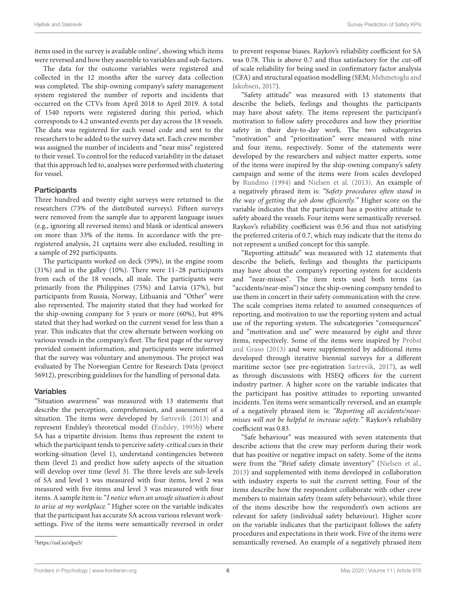items used in the survey is available online<sup>[2](#page-5-0)</sup>, showing which items were reversed and how they assemble to variables and sub-factors.

The data for the outcome variables were registered and collected in the 12 months after the survey data collection was completed. The ship-owning company's safety management system registered the number of reports and incidents that occurred on the CTVs from April 2018 to April 2019. A total of 1540 reports were registered during this period, which corresponds to 4.2 unwanted events per day across the 18 vessels. The data was registered for each vessel code and sent to the researchers to be added to the survey data set. Each crew member was assigned the number of incidents and "near miss" registered to their vessel. To control for the reduced variability in the dataset that this approach led to, analyses were performed with clustering for vessel.

### **Participants**

Three hundred and twenty eight surveys were returned to the researchers (73% of the distributed surveys). Fifteen surveys were removed from the sample due to apparent language issues (e.g., ignoring all reversed items) and blank or identical answers on more than 33% of the items. In accordance with the preregistered analysis, 21 captains were also excluded, resulting in a sample of 292 participants.

The participants worked on deck (59%), in the engine room (31%) and in the galley (10%). There were 11–28 participants from each of the 18 vessels, all male. The participants were primarily from the Philippines (75%) and Latvia (17%), but participants from Russia, Norway, Lithuania and "Other" were also represented. The majority stated that they had worked for the ship-owning company for 5 years or more (60%), but 49% stated that they had worked on the current vessel for less than a year. This indicates that the crew alternate between working on various vessels in the company's fleet. The first page of the survey provided consent information, and participants were informed that the survey was voluntary and anonymous. The project was evaluated by The Norwegian Centre for Research Data (project 56912), prescribing guidelines for the handling of personal data.

#### Variables

"Situation awareness" was measured with 13 statements that describe the perception, comprehension, and assessment of a situation. The items were developed by [Sætrevik](#page-10-25) [\(2013\)](#page-10-25) and represent Endsley's theoretical model [\(Endsley,](#page-10-18) [1995b\)](#page-10-18) where SA has a tripartite division. Items thus represent the extent to which the participant tends to perceive safety-critical cues in their working-situation (level 1), understand contingencies between them (level 2) and predict how safety aspects of the situation will develop over time (level 3). The three levels are sub-levels of SA and level 1 was measured with four items, level 2 was measured with five items and level 3 was measured with four items. A sample item is: "I notice when an unsafe situation is about to arise at my workplace." Higher score on the variable indicates that the participant has accurate SA across various relevant worksettings. Five of the items were semantically reversed in order

to prevent response biases. Raykov's reliability coefficient for SA was 0.78. This is above 0.7 and thus satisfactory for the cut-off of scale reliability for being used in confirmatory factor analysis (CFA) and structural equation modelling (SEM; [Mehmetoglu and](#page-10-36) [Jakobsen,](#page-10-36) [2017\)](#page-10-36).

"Safety attitude" was measured with 13 statements that describe the beliefs, feelings and thoughts the participants may have about safety. The items represent the participant's motivation to follow safety procedures and how they prioritise safety in their day-to-day work. The two subcategories "motivation" and "prioritisation" were measured with nine and four items, respectively. Some of the statements were developed by the researchers and subject matter experts, some of the items were inspired by the ship-owning company's safety campaign and some of the items were from scales developed by [Rundmo](#page-10-37) [\(1994\)](#page-10-37) and [Nielsen et al.](#page-10-38) [\(2013\)](#page-10-38). An example of a negatively phrased item is: "Safety procedures often stand in the way of getting the job done efficiently." Higher score on the variable indicates that the participant has a positive attitude to safety aboard the vessels. Four items were semantically reversed. Raykov's reliability coefficient was 0.56 and thus not satisfying the preferred criteria of 0.7, which may indicate that the items do not represent a unified concept for this sample.

"Reporting attitude" was measured with 12 statements that describe the beliefs, feelings and thoughts the participants may have about the company's reporting system for accidents and "near-misses". The item texts used both terms (as "accidents/near-miss") since the ship-owning company tended to use them in concert in their safety communication with the crew. The scale comprises items related to assumed consequences of reporting, and motivation to use the reporting system and actual use of the reporting system. The subcategories "consequences" and "motivation and use" were measured by eight and three items, respectively. Some of the items were inspired by [Probst](#page-10-39) [and Graso](#page-10-39) [\(2013\)](#page-10-39) and were supplemented by additional items developed through iterative biennial surveys for a different maritime sector (see pre-registration [Sætrevik,](#page-10-40) [2017\)](#page-10-40), as well as through discussions with HSEQ officers for the current industry partner. A higher score on the variable indicates that the participant has positive attitudes to reporting unwanted incidents. Ten items were semantically reversed, and an example of a negatively phrased item is: "Reporting all accidents/nearmisses will not be helpful to increase safety." Raykov's reliability coefficient was 0.83.

"Safe behaviour" was measured with seven statements that describe actions that the crew may perform during their work that has positive or negative impact on safety. Some of the items were from the "Brief safety climate inventory" [\(Nielsen et al.,](#page-10-38) [2013\)](#page-10-38) and supplemented with items developed in collaboration with industry experts to suit the current setting. Four of the items describe how the respondent collaborate with other crew members to maintain safety (team safety behaviour), while three of the items describe how the respondent's own actions are relevant for safety (individual safety behaviour). Higher score on the variable indicates that the participant follows the safety procedures and expectations in their work. Five of the items were semantically reversed. An example of a negatively phrased item

<span id="page-5-0"></span><sup>2</sup><https://osf.io/sfpu5/>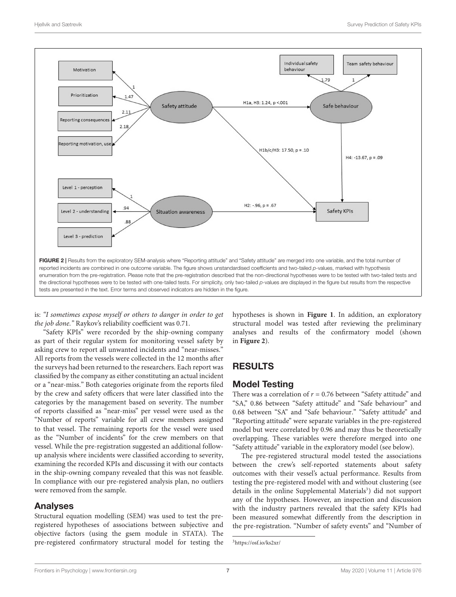

<span id="page-6-0"></span>is: "I sometimes expose myself or others to danger in order to get the job done." Raykov's reliability coefficient was 0.71.

"Safety KPIs" were recorded by the ship-owning company as part of their regular system for monitoring vessel safety by asking crew to report all unwanted incidents and "near-misses." All reports from the vessels were collected in the 12 months after the surveys had been returned to the researchers. Each report was classified by the company as either constituting an actual incident or a "near-miss." Both categories originate from the reports filed by the crew and safety officers that were later classified into the categories by the management based on severity. The number of reports classified as "near-miss" per vessel were used as the "Number of reports" variable for all crew members assigned to that vessel. The remaining reports for the vessel were used as the "Number of incidents" for the crew members on that vessel. While the pre-registration suggested an additional followup analysis where incidents were classified according to severity, examining the recorded KPIs and discussing it with our contacts in the ship-owning company revealed that this was not feasible. In compliance with our pre-registered analysis plan, no outliers were removed from the sample.

### Analyses

Structural equation modelling (SEM) was used to test the preregistered hypotheses of associations between subjective and objective factors (using the gsem module in STATA). The pre-registered confirmatory structural model for testing the hypotheses is shown in **[Figure 1](#page-4-0)**. In addition, an exploratory structural model was tested after reviewing the preliminary analyses and results of the confirmatory model (shown in **[Figure 2](#page-6-0)**).

# RESULTS

### Model Testing

There was a correlation of  $r = 0.76$  between "Safety attitude" and "SA," 0.86 between "Safety attitude" and "Safe behaviour" and 0.68 between "SA" and "Safe behaviour." "Safety attitude" and "Reporting attitude" were separate variables in the pre-registered model but were correlated by 0.96 and may thus be theoretically overlapping. These variables were therefore merged into one "Safety attitude" variable in the exploratory model (see below).

The pre-registered structural model tested the associations between the crew's self-reported statements about safety outcomes with their vessel's actual performance. Results from testing the pre-registered model with and without clustering (see details in the online Supplemental Materials<sup>[3](#page-6-1)</sup>) did not support any of the hypotheses. However, an inspection and discussion with the industry partners revealed that the safety KPIs had been measured somewhat differently from the description in the pre-registration. "Number of safety events" and "Number of

<span id="page-6-1"></span><sup>3</sup><https://osf.io/ks2xr/>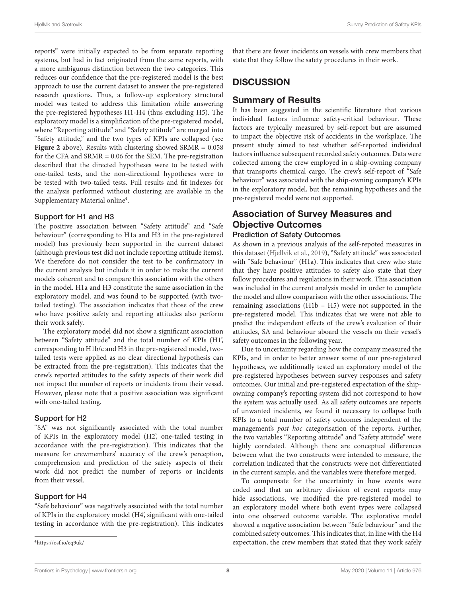reports" were initially expected to be from separate reporting systems, but had in fact originated from the same reports, with a more ambiguous distinction between the two categories. This reduces our confidence that the pre-registered model is the best approach to use the current dataset to answer the pre-registered research questions. Thus, a follow-up exploratory structural model was tested to address this limitation while answering the pre-registered hypotheses H1-H4 (thus excluding H5). The exploratory model is a simplification of the pre-registered model, where "Reporting attitude" and "Safety attitude" are merged into "Safety attitude," and the two types of KPIs are collapsed (see **[Figure 2](#page-6-0)** above). Results with clustering showed SRMR = 0.058 for the CFA and SRMR = 0.06 for the SEM. The pre-registration described that the directed hypotheses were to be tested with one-tailed tests, and the non-directional hypotheses were to be tested with two-tailed tests. Full results and fit indexes for the analysis performed without clustering are available in the Supplementary Material online<sup>[4](#page-7-0)</sup>.

#### Support for H1 and H3

The positive association between "Safety attitude" and "Safe behaviour" (corresponding to H1a and H3 in the pre-registered model) has previously been supported in the current dataset (although previous test did not include reporting attitude items). We therefore do not consider the test to be confirmatory in the current analysis but include it in order to make the current models coherent and to compare this association with the others in the model. H1a and H3 constitute the same association in the exploratory model, and was found to be supported (with twotailed testing). The association indicates that those of the crew who have positive safety and reporting attitudes also perform their work safely.

The exploratory model did not show a significant association between "Safety attitude" and the total number of KPIs (H1', corresponding to H1b/c and H3 in the pre-registered model, twotailed tests were applied as no clear directional hypothesis can be extracted from the pre-registration). This indicates that the crew's reported attitudes to the safety aspects of their work did not impact the number of reports or incidents from their vessel. However, please note that a positive association was significant with one-tailed testing.

### Support for H2

"SA" was not significantly associated with the total number of KPIs in the exploratory model (H2', one-tailed testing in accordance with the pre-registration). This indicates that the measure for crewmembers' accuracy of the crew's perception, comprehension and prediction of the safety aspects of their work did not predict the number of reports or incidents from their vessel.

#### Support for H4

"Safe behaviour" was negatively associated with the total number of KPIs in the exploratory model (H4', significant with one-tailed testing in accordance with the pre-registration). This indicates

that there are fewer incidents on vessels with crew members that state that they follow the safety procedures in their work.

# **DISCUSSION**

### Summary of Results

It has been suggested in the scientific literature that various individual factors influence safety-critical behaviour. These factors are typically measured by self-report but are assumed to impact the objective risk of accidents in the workplace. The present study aimed to test whether self-reported individual factors influence subsequent recorded safety outcomes. Data were collected among the crew employed in a ship-owning company that transports chemical cargo. The crew's self-report of "Safe behaviour" was associated with the ship-owning company's KPIs in the exploratory model, but the remaining hypotheses and the pre-registered model were not supported.

# Association of Survey Measures and Objective Outcomes

### Prediction of Safety Outcomes

As shown in a previous analysis of the self-repoted measures in this dataset [\(Hjellvik et al.,](#page-10-8) [2019\)](#page-10-8), "Safety attitude" was associated with "Safe behaviour" (H1a). This indicates that crew who state that they have positive attitudes to safety also state that they follow procedures and regulations in their work. This association was included in the current analysis model in order to complete the model and allow comparison with the other associations. The remaining associations (H1b – H5) were not supported in the pre-registered model. This indicates that we were not able to predict the independent effects of the crew's evaluation of their attitudes, SA and behaviour aboard the vessels on their vessel's safety outcomes in the following year.

Due to uncertainty regarding how the company measured the KPIs, and in order to better answer some of our pre-registered hypotheses, we additionally tested an exploratory model of the pre-registered hypotheses between survey responses and safety outcomes. Our initial and pre-registered expectation of the shipowning company's reporting system did not correspond to how the system was actually used. As all safety outcomes are reports of unwanted incidents, we found it necessary to collapse both KPIs to a total number of safety outcomes independent of the management's post hoc categorisation of the reports. Further, the two variables "Reporting attitude" and "Safety attitude" were highly correlated. Although there are conceptual differences between what the two constructs were intended to measure, the correlation indicated that the constructs were not differentiated in the current sample, and the variables were therefore merged.

To compensate for the uncertainty in how events were coded and that an arbitrary division of event reports may hide associations, we modified the pre-registered model to an exploratory model where both event types were collapsed into one observed outcome variable. The explorative model showed a negative association between "Safe behaviour" and the combined safety outcomes. This indicates that, in line with the H4 expectation, the crew members that stated that they work safely

<span id="page-7-0"></span><sup>4</sup><https://osf.io/eq9uk/>

[Frontiers in Psychology](https://www.frontiersin.org/journals/psychology) | [www.frontiersin.org](https://www.frontiersin.org/) **8 May 2020 | Volume 11 | [Article 976](https://www.frontiersin.org/journals/psychology#articles)** May 2020 | Volume 11 | Article 976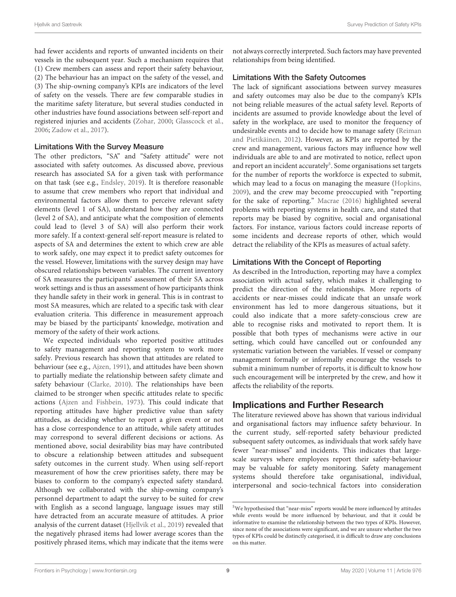had fewer accidents and reports of unwanted incidents on their vessels in the subsequent year. Such a mechanism requires that (1) Crew members can assess and report their safety behaviour, (2) The behaviour has an impact on the safety of the vessel, and (3) The ship-owning company's KPIs are indicators of the level of safety on the vessels. There are few comparable studies in the maritime safety literature, but several studies conducted in other industries have found associations between self-report and registered injuries and accidents [\(Zohar,](#page-11-1) [2000;](#page-11-1) [Glasscock et al.,](#page-10-41) [2006;](#page-10-41) [Zadow et al.,](#page-11-4) [2017\)](#page-11-4).

#### Limitations With the Survey Measure

The other predictors, "SA" and "Safety attitude" were not associated with safety outcomes. As discussed above, previous research has associated SA for a given task with performance on that task (see e.g., [Endsley,](#page-10-21) [2019\)](#page-10-21). It is therefore reasonable to assume that crew members who report that individual and environmental factors allow them to perceive relevant safety elements (level 1 of SA), understand how they are connected (level 2 of SA), and anticipate what the composition of elements could lead to (level 3 of SA) will also perform their work more safely. If a context-general self-report measure is related to aspects of SA and determines the extent to which crew are able to work safely, one may expect it to predict safety outcomes for the vessel. However, limitations with the survey design may have obscured relationships between variables. The current inventory of SA measures the participants' assessment of their SA across work settings and is thus an assessment of how participants think they handle safety in their work in general. This is in contrast to most SA measures, which are related to a specific task with clear evaluation criteria. This difference in measurement approach may be biased by the participants' knowledge, motivation and memory of the safety of their work actions.

We expected individuals who reported positive attitudes to safety management and reporting system to work more safely. Previous research has shown that attitudes are related to behaviour (see e.g., [Ajzen,](#page-9-4) [1991\)](#page-9-4), and attitudes have been shown to partially mediate the relationship between safety climate and safety behaviour [\(Clarke,](#page-10-42) [2010\)](#page-10-42). The relationships have been claimed to be stronger when specific attitudes relate to specific actions [\(Ajzen and Fishbein,](#page-9-5) [1973\)](#page-9-5). This could indicate that reporting attitudes have higher predictive value than safety attitudes, as deciding whether to report a given event or not has a close correspondence to an attitude, while safety attitudes may correspond to several different decisions or actions. As mentioned above, social desirability bias may have contributed to obscure a relationship between attitudes and subsequent safety outcomes in the current study. When using self-report measurement of how the crew prioritises safety, there may be biases to conform to the company's expected safety standard. Although we collaborated with the ship-owning company's personnel department to adapt the survey to be suited for crew with English as a second language, language issues may still have detracted from an accurate measure of attitudes. A prior analysis of the current dataset [\(Hjellvik et al.,](#page-10-8) [2019\)](#page-10-8) revealed that the negatively phrased items had lower average scores than the positively phrased items, which may indicate that the items were not always correctly interpreted. Such factors may have prevented relationships from being identified.

### Limitations With the Safety Outcomes

The lack of significant associations between survey measures and safety outcomes may also be due to the company's KPIs not being reliable measures of the actual safety level. Reports of incidents are assumed to provide knowledge about the level of safety in the workplace, are used to monitor the frequency of undesirable events and to decide how to manage safety [\(Reiman](#page-10-43) [and Pietikäinen,](#page-10-43) [2012\)](#page-10-43). However, as KPIs are reported by the crew and management, various factors may influence how well individuals are able to and are motivated to notice, reflect upon and report an incident accurately<sup>[5](#page-8-0)</sup>. Some organisations set targets for the number of reports the workforce is expected to submit, which may lead to a focus on managing the measure [\(Hopkins,](#page-10-35) [2009\)](#page-10-35), and the crew may become preoccupied with "reporting for the sake of reporting." [Macrae](#page-10-44) [\(2016\)](#page-10-44) highlighted several problems with reporting systems in health care, and stated that reports may be biased by cognitive, social and organisational factors. For instance, various factors could increase reports of some incidents and decrease reports of other, which would detract the reliability of the KPIs as measures of actual safety.

### Limitations With the Concept of Reporting

As described in the Introduction, reporting may have a complex association with actual safety, which makes it challenging to predict the direction of the relationships. More reports of accidents or near-misses could indicate that an unsafe work environment has led to more dangerous situations, but it could also indicate that a more safety-conscious crew are able to recognise risks and motivated to report them. It is possible that both types of mechanisms were active in our setting, which could have cancelled out or confounded any systematic variation between the variables. If vessel or company management formally or informally encourage the vessels to submit a minimum number of reports, it is difficult to know how such encouragement will be interpreted by the crew, and how it affects the reliability of the reports.

### Implications and Further Research

The literature reviewed above has shown that various individual and organisational factors may influence safety behaviour. In the current study, self-reported safety behaviour predicted subsequent safety outcomes, as individuals that work safely have fewer "near-misses" and incidents. This indicates that largescale surveys where employees report their safety-behaviour may be valuable for safety monitoring. Safety management systems should therefore take organisational, individual, interpersonal and socio-technical factors into consideration

<span id="page-8-0"></span><sup>5</sup>We hypothesised that "near-miss" reports would be more influenced by attitudes while events would be more influenced by behaviour, and that it could be informative to examine the relationship between the two types of KPIs. However, since none of the associations were significant, and we are unsure whether the two types of KPIs could be distinctly categorised, it is difficult to draw any conclusions on this matter.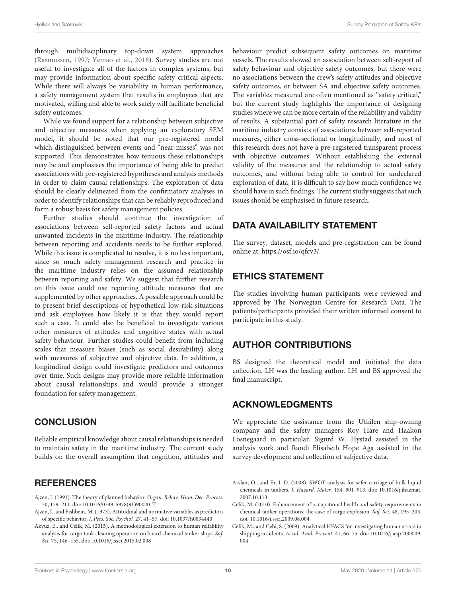through multidisciplinary top-down system approaches [\(Rasmussen,](#page-10-45) [1997;](#page-10-45) [Yemao et al.,](#page-11-5) [2018\)](#page-11-5). Survey studies are not useful to investigate all of the factors in complex systems, but may provide information about specific safety critical aspects. While there will always be variability in human performance, a safety management system that results in employees that are motivated, willing and able to work safely will facilitate beneficial safety outcomes.

While we found support for a relationship between subjective and objective measures when applying an exploratory SEM model, it should be noted that our pre-registered model which distinguished between events and "near-misses" was not supported. This demonstrates how tenuous these relationships may be and emphasises the importance of being able to predict associations with pre-registered hypotheses and analysis methods in order to claim causal relationships. The exploration of data should be clearly delineated from the confirmatory analyses in order to identify relationships that can be reliably reproduced and form a robust basis for safety management policies.

Further studies should continue the investigation of associations between self-reported safety factors and actual unwanted incidents in the maritime industry. The relationship between reporting and accidents needs to be further explored. While this issue is complicated to resolve, it is no less important, since so much safety management research and practice in the maritime industry relies on the assumed relationship between reporting and safety. We suggest that further research on this issue could use reporting attitude measures that are supplemented by other approaches. A possible approach could be to present brief descriptions of hypothetical low-risk situations and ask employees how likely it is that they would report such a case. It could also be beneficial to investigate various other measures of attitudes and cognitive states with actual safety behaviour. Further studies could benefit from including scales that measure biases (such as social desirability) along with measures of subjective and objective data. In addition, a longitudinal design could investigate predictors and outcomes over time. Such designs may provide more reliable information about causal relationships and would provide a stronger foundation for safety management.

### **CONCLUSION**

Reliable empirical knowledge about causal relationships is needed to maintain safety in the maritime industry. The current study builds on the overall assumption that cognition, attitudes and

### **REFERENCES**

- <span id="page-9-4"></span>Ajzen, I. (1991). The theory of planned behavior. Organ. Behav. Hum. Dec. Process. 50, 179–211. [doi: 10.1016/0749-5978\(91\)90020-T](https://doi.org/10.1016/0749-5978(91)90020-T)
- <span id="page-9-5"></span>Ajzen, I., and Fishbein, M. (1973). Attitudinal and normative variables as predictors of specific behavior. J. Pers. Soc. Psychol. 27, 41–57. [doi: 10.1037/h0034440](https://doi.org/10.1037/h0034440)
- <span id="page-9-1"></span>Akyuz, E., and Celik, M. (2015). A methodological extension to human reliability analysis for cargo tank cleaning operation on board chemical tanker ships. Saf. Sci. 75, 146–155. [doi: 10.1016/j.ssci.2015.02.008](https://doi.org/10.1016/j.ssci.2015.02.008)

behaviour predict subsequent safety outcomes on maritime vessels. The results showed an association between self-report of safety behaviour and objective safety outcomes, but there were no associations between the crew's safety attitudes and objective safety outcomes, or between SA and objective safety outcomes. The variables measured are often mentioned as "safety critical," but the current study highlights the importance of designing studies where we can be more certain of the reliability and validity of results. A substantial part of safety research literature in the maritime industry consists of associations between self-reported measures, either cross-sectional or longitudinally, and most of this research does not have a pre-registered transparent process with objective outcomes. Without establishing the external validity of the measures and the relationship to actual safety outcomes, and without being able to control for undeclared exploration of data, it is difficult to say how much confidence we should have in such findings. The current study suggests that such issues should be emphasised in future research.

# DATA AVAILABILITY STATEMENT

The survey, dataset, models and pre-registration can be found online at: [https://osf.io/qfcv3/.](https://osf.io/qfcv3/)

# ETHICS STATEMENT

The studies involving human participants were reviewed and approved by The Norwegian Centre for Research Data. The patients/participants provided their written informed consent to participate in this study.

### AUTHOR CONTRIBUTIONS

BS designed the theoretical model and initiated the data collection. LH was the leading author. LH and BS approved the final manuscript.

### ACKNOWLEDGMENTS

We appreciate the assistance from the Utkilen ship-owning company and the safety managers Roy Håre and Haakon Losnegaard in particular. Sigurd W. Hystad assisted in the analysis work and Randi Elisabeth Hope Aga assisted in the survey development and collection of subjective data.

- <span id="page-9-2"></span>Arslan, O., and Er, I. D. (2008). SWOT analysis for safer carriage of bulk liquid chemicals in tankers. J. Hazard. Mater. 154, 901–913. [doi: 10.1016/j.jhazmat.](https://doi.org/10.1016/j.jhazmat.2007.10.113) [2007.10.113](https://doi.org/10.1016/j.jhazmat.2007.10.113)
- <span id="page-9-3"></span>Celik, M. (2010). Enhancement of occupational health and safety requirements in chemical tanker operations: the case of cargo explosion. Saf. Sci. 48, 195–203. [doi: 10.1016/j.ssci.2009.08.004](https://doi.org/10.1016/j.ssci.2009.08.004)
- <span id="page-9-0"></span>Celik, M., and Cebi, S. (2009). Analytical HFACS for investigating human errors in shipping accidents. Accid. Anal. Prevent. 41, 66–75. [doi: 10.1016/j.aap.2008.09.](https://doi.org/10.1016/j.aap.2008.09.004) [004](https://doi.org/10.1016/j.aap.2008.09.004)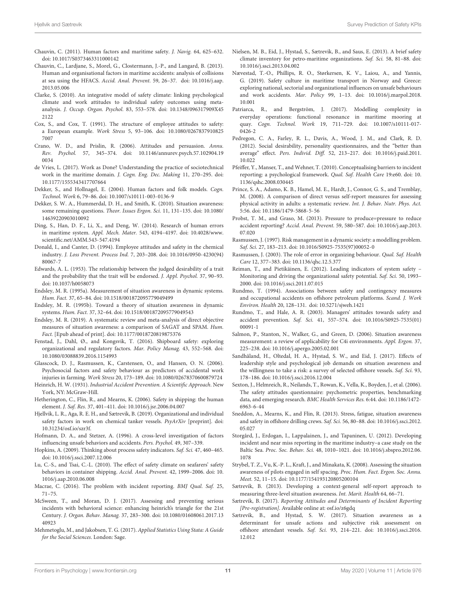- <span id="page-10-9"></span>Chauvin, C. (2011). Human factors and maritime safety. J. Navig. 64, 625–632. [doi: 10.1017/S0373463311000142](https://doi.org/10.1017/S0373463311000142)
- <span id="page-10-1"></span>Chauvin, C., Lardjane, S., Morel, G., Clostermann, J.-P., and Langard, B. (2013). Human and organisational factors in maritime accidents: analysis of collisions at sea using the HFACS. Accid. Anal. Prevent. 59, 26–37. [doi: 10.1016/j.aap.](https://doi.org/10.1016/j.aap.2013.05.006) [2013.05.006](https://doi.org/10.1016/j.aap.2013.05.006)
- <span id="page-10-42"></span>Clarke, S. (2010). An integrative model of safety climate: linking psychological climate and work attitudes to individual safety outcomes using metaanalysis. J. Occup. Organ. Psychol. 83, 553–578. [doi: 10.1348/096317909X45](https://doi.org/10.1348/096317909X452122) [2122](https://doi.org/10.1348/096317909X452122)
- <span id="page-10-12"></span>Cox, S., and Cox, T. (1991). The structure of employee attitudes to safety: a European example. Work Stress 5, 93–106. [doi: 10.1080/0267837910825](https://doi.org/10.1080/02678379108257007) [7007](https://doi.org/10.1080/02678379108257007)
- <span id="page-10-11"></span>Crano, W. D., and Prislin, R. (2006). Attitudes and persuasion. Annu. Rev. Psychol. 57, 345–374. [doi: 10.1146/annurev.psych.57.102904.19](https://doi.org/10.1146/annurev.psych.57.102904.190034) [0034](https://doi.org/10.1146/annurev.psych.57.102904.190034)
- <span id="page-10-2"></span>de Vries, L. (2017). Work as Done? Understanding the practice of sociotechnical work in the maritime domain. J. Cogn. Eng. Dec. Making 11, 270–295. [doi:](https://doi.org/10.1177/1555343417707664) [10.1177/1555343417707664](https://doi.org/10.1177/1555343417707664)
- <span id="page-10-23"></span>Dekker, S., and Hollnagel, E. (2004). Human factors and folk models. Cogn. Technol. Work 6, 79–86. [doi: 10.1007/s10111-003-0136-9](https://doi.org/10.1007/s10111-003-0136-9)
- <span id="page-10-22"></span>Dekker, S. W. A., Hummerdal, D. H., and Smith, K. (2010). Situation awareness: some remaining questions. Theor. Issues Ergon. Sci. 11, 131–135. [doi: 10.1080/](https://doi.org/10.1080/14639220903010092) [14639220903010092](https://doi.org/10.1080/14639220903010092)
- <span id="page-10-10"></span>Ding, S., Han, D. F., Li, X., and Deng, W. (2014). Research of human errors in maritime system. Appl. Mech. Mater. 543, 4194–4197. [doi: 10.4028/www.](https://doi.org/10.4028/www.scientific.net/AMM.543-547.4194) [scientific.net/AMM.543-547.4194](https://doi.org/10.4028/www.scientific.net/AMM.543-547.4194)
- <span id="page-10-14"></span>Donald, I., and Canter, D. (1994). Employee attitudes and safety in the chemical industry. J. Loss Prevent. Process Ind. 7, 203–208. [doi: 10.1016/0950-4230\(94\)](https://doi.org/10.1016/0950-4230(94)80067-7) [80067-7](https://doi.org/10.1016/0950-4230(94)80067-7)
- <span id="page-10-33"></span>Edwards, A. L. (1953). The relationship between the judged desirability of a trait and the probability that the trait will be endorsed. J. Appl. Psychol. 37, 90–93. [doi: 10.1037/h0058073](https://doi.org/10.1037/h0058073)
- <span id="page-10-24"></span>Endsley, M. R. (1995a). Measurement of situation awareness in dynamic systems. Hum. Fact. 37, 65–84. [doi: 10.1518/001872095779049499](https://doi.org/10.1518/001872095779049499)
- <span id="page-10-18"></span>Endsley, M. R. (1995b). Toward a theory of situation awareness in dynamic systems. Hum. Fact. 37, 32–64. [doi: 10.1518/001872095779049543](https://doi.org/10.1518/001872095779049543)
- <span id="page-10-21"></span>Endsley, M. R. (2019). A systematic review and meta-analysis of direct objective measures of situation awareness: a comparison of SAGAT and SPAM. Hum. Fact. [Epub ahead of print]. [doi: 10.1177/0018720819875376](https://doi.org/10.1177/0018720819875376)
- <span id="page-10-5"></span>Fenstad, J., Dahl, Ø., and Kongsvik, T. (2016). Shipboard safety: exploring organizational and regulatory factors. Mar. Policy Manag. 43, 552–568. [doi:](https://doi.org/10.1080/03088839.2016.1154993) [10.1080/03088839.2016.1154993](https://doi.org/10.1080/03088839.2016.1154993)
- <span id="page-10-41"></span>Glasscock, D. J., Rasmussen, K., Carstensen, O., and Hansen, O. N. (2006). Psychosocial factors and safety behaviour as predictors of accidental work injuries in farming. Work Stress 20, 173–189. [doi: 10.1080/02678370600879724](https://doi.org/10.1080/02678370600879724)
- <span id="page-10-29"></span>Heinrich, H. W. (1931). Industrial Accident Prevention. A Scientific Approach. New York, NY: McGraw-Hill.
- <span id="page-10-0"></span>Hetherington, C., Flin, R., and Mearns, K. (2006). Safety in shipping: the human element. J. Saf. Res. 37, 401–411. [doi: 10.1016/j.jsr.2006.04.007](https://doi.org/10.1016/j.jsr.2006.04.007)
- <span id="page-10-8"></span>Hjellvik, L. R., Aga, R. E. H., and Sætrevik, B. (2019). Organizational and individual safety factors in work on chemical tanker vessels. PsyArXiv [preprint]. [doi:](https://doi.org/10.31234/osf.io/szr3f.) [10.31234/osf.io/szr3f.](https://doi.org/10.31234/osf.io/szr3f.)
- <span id="page-10-30"></span>Hofmann, D. A., and Stetzer, A. (1996). A cross-level investigation of factors influencing unsafe behaviors and accidents. Pers. Psychol. 49, 307–339.
- <span id="page-10-35"></span>Hopkins, A. (2009). Thinking about process safety indicators. Saf. Sci. 47, 460–465. [doi: 10.1016/j.ssci.2007.12.006](https://doi.org/10.1016/j.ssci.2007.12.006)
- <span id="page-10-4"></span>Lu, C.-S., and Tsai, C.-L. (2010). The effect of safety climate on seafarers' safety behaviors in container shipping. Accid. Anal. Prevent. 42, 1999–2006. [doi: 10.](https://doi.org/10.1016/j.aap.2010.06.008) [1016/j.aap.2010.06.008](https://doi.org/10.1016/j.aap.2010.06.008)
- <span id="page-10-44"></span>Macrae, C. (2016). The problem with incident reporting. BMJ Qual. Saf. 25, 71–75.
- <span id="page-10-31"></span>McSween, T., and Moran, D. J. (2017). Assessing and preventing serious incidents with behavioral science: enhancing heinrich's triangle for the 21st Century. J. Organ. Behav. Manag. 37, 283–300. [doi: 10.1080/01608061.2017.13](https://doi.org/10.1080/01608061.2017.1340923) [40923](https://doi.org/10.1080/01608061.2017.1340923)
- <span id="page-10-36"></span>Mehmetoglu, M., and Jakobsen, T. G. (2017). Applied Statistics Using Stata: A Guide for the Social Sciences. London: Sage.
- <span id="page-10-38"></span>Nielsen, M. B., Eid, J., Hystad, S., Sætrevik, B., and Saus, E. (2013). A brief safety climate inventory for petro-maritime organizations. Saf. Sci. 58, 81–88. [doi:](https://doi.org/10.1016/j.ssci.2013.04.002) [10.1016/j.ssci.2013.04.002](https://doi.org/10.1016/j.ssci.2013.04.002)
- <span id="page-10-7"></span>Nævestad, T.-O., Phillips, R. O., Størkersen, K. V., Laiou, A., and Yannis, G. (2019). Safety culture in maritime transport in Norway and Greece: exploring national, sectorial and organizational influences on unsafe behaviours and work accidents. Mar. Policy 99, 1–13. [doi: 10.1016/j.marpol.2018.](https://doi.org/10.1016/j.marpol.2018.10.001) [10.001](https://doi.org/10.1016/j.marpol.2018.10.001)
- <span id="page-10-3"></span>Patriarca, R., and Bergström, J. (2017). Modelling complexity in everyday operations: functional resonance in maritime mooring at quay. Cogn. Technol. Work 19, 711–729. [doi: 10.1007/s10111-017-](https://doi.org/10.1007/s10111-017-0426-2) [0426-2](https://doi.org/10.1007/s10111-017-0426-2)
- <span id="page-10-34"></span>Pedregon, C. A., Farley, R. L., Davis, A., Wood, J. M., and Clark, R. D. (2012). Social desirability, personality questionnaires, and the "better than average" effect. Pers. Individ. Diff. 52, 213–217. [doi: 10.1016/j.paid.2011.](https://doi.org/10.1016/j.paid.2011.10.022) [10.022](https://doi.org/10.1016/j.paid.2011.10.022)
- <span id="page-10-17"></span>Pfeiffer, Y., Manser, T., and Wehner, T. (2010). Conceptualising barriers to incident reporting: a psychological framework. Qual. Saf. Health Care 19:e60. [doi: 10.](https://doi.org/10.1136/qshc.2008.030445) [1136/qshc.2008.030445](https://doi.org/10.1136/qshc.2008.030445)
- <span id="page-10-32"></span>Prince, S. A., Adamo, K. B., Hamel, M. E., Hardt, J., Connor, G. S., and Tremblay, M. (2008). A comparison of direct versus self-report measures for assessing physical activity in adults: a systematic review. Int. J. Behav. Nutr. Phys. Act. 5:56. [doi: 10.1186/1479-5868-5-56](https://doi.org/10.1186/1479-5868-5-56)
- <span id="page-10-39"></span>Probst, T. M., and Graso, M. (2013). Pressure to produce=pressure to reduce accident reporting? Accid. Anal. Prevent. 59, 580–587. [doi: 10.1016/j.aap.2013.](https://doi.org/10.1016/j.aap.2013.07.020) [07.020](https://doi.org/10.1016/j.aap.2013.07.020)
- <span id="page-10-45"></span>Rasmussen, J. (1997). Risk management in a dynamic society: a modelling problem. Saf. Sci. 27, 183–213. [doi: 10.1016/S0925-7535\(97\)00052-0](https://doi.org/10.1016/S0925-7535(97)00052-0)
- <span id="page-10-27"></span>Rasmussen, J. (2003). The role of error in organizing behaviour. Qual. Saf. Health Care 12, 377–383. [doi: 10.1136/qhc.12.5.377](https://doi.org/10.1136/qhc.12.5.377)
- <span id="page-10-43"></span>Reiman, T., and Pietikäinen, E. (2012). Leading indicators of system safety – Monitoring and driving the organizational safety potential. Saf. Sci. 50, 1993-2000. [doi: 10.1016/j.ssci.2011.07.015](https://doi.org/10.1016/j.ssci.2011.07.015)
- <span id="page-10-37"></span>Rundmo, T. (1994). Associations between safety and contingency measures and occupational accidents on offshore petroleum platforms. Scand. J. Work Environ. Health 20, 128–131. [doi: 10.5271/sjweh.1421](https://doi.org/10.5271/sjweh.1421)
- <span id="page-10-15"></span>Rundmo, T., and Hale, A. R. (2003). Managers' attitudes towards safety and accident prevention. Saf. Sci. 41, 557–574. [doi: 10.1016/S0925-7535\(01\)](https://doi.org/10.1016/S0925-7535(01)00091-1) [00091-1](https://doi.org/10.1016/S0925-7535(01)00091-1)
- <span id="page-10-19"></span>Salmon, P., Stanton, N., Walker, G., and Green, D. (2006). Situation awareness measurement: a review of applicability for C4i environments. Appl. Ergon. 37, 225–238. [doi: 10.1016/j.apergo.2005.02.001](https://doi.org/10.1016/j.apergo.2005.02.001)
- <span id="page-10-6"></span>Sandhåland, H., Oltedal, H. A., Hystad, S. W., and Eid, J. (2017). Effects of leadership style and psychological job demands on situation awareness and the willingness to take a risk: a survey of selected offshore vessels. Saf. Sci. 93, 178–186. [doi: 10.1016/j.ssci.2016.12.004](https://doi.org/10.1016/j.ssci.2016.12.004)
- <span id="page-10-13"></span>Sexton, J., Helmreich, R., Neilands, T., Rowan, K., Vella, K., Boyden, J., et al. (2006). The safety attitudes questionnaire: psychometric properties, benchmarking data, and emerging research. BMC Health Services Res. 6:44. [doi: 10.1186/1472-](https://doi.org/10.1186/1472-6963-6-44) [6963-6-44](https://doi.org/10.1186/1472-6963-6-44)
- <span id="page-10-28"></span>Sneddon, A., Mearns, K., and Flin, R. (2013). Stress, fatigue, situation awareness and safety in offshore drilling crews. Saf. Sci. 56, 80–88. [doi: 10.1016/j.ssci.2012.](https://doi.org/10.1016/j.ssci.2012.05.027) [05.027](https://doi.org/10.1016/j.ssci.2012.05.027)
- <span id="page-10-16"></span>Storgård, J., Erdogan, I., Lappalainen, J., and Tapaninen, U. (2012). Developing incident and near miss reporting in the maritime industry–a case study on the Baltic Sea. Proc. Soc. Behav. Sci. 48, 1010–1021. [doi: 10.1016/j.sbspro.2012.06.](https://doi.org/10.1016/j.sbspro.2012.06.1078) [1078](https://doi.org/10.1016/j.sbspro.2012.06.1078)
- <span id="page-10-20"></span>Strybel, T. Z., Vu, K.-P. L., Kraft, J., and Minakata, K. (2008). Assessing the situation awareness of pilots engaged in self spacing. Proc. Hum. Fact. Ergon. Soc. Annu. Meet. 52, 11–15. [doi: 10.1177/154193120805200104](https://doi.org/10.1177/154193120805200104)
- <span id="page-10-25"></span>Sætrevik, B. (2013). Developing a context-general self-report approach to measuring three-level situation awareness. Int. Marit. Health 64, 66–71.
- <span id="page-10-40"></span>Sætrevik, B. (2017). Reporting Attitudes and Determinants of Incident Reporting [Pre-registration]. Available online at: [osf.io/z6gdq](http://osf.io/z6gdq)
- <span id="page-10-26"></span>Sætrevik, B., and Hystad, S. W. (2017). Situation awareness as a determinant for unsafe actions and subjective risk assessment on offshore attendant vessels. Saf. Sci. 93, 214–221. [doi: 10.1016/j.ssci.2016.](https://doi.org/10.1016/j.ssci.2016.12.012) [12.012](https://doi.org/10.1016/j.ssci.2016.12.012)